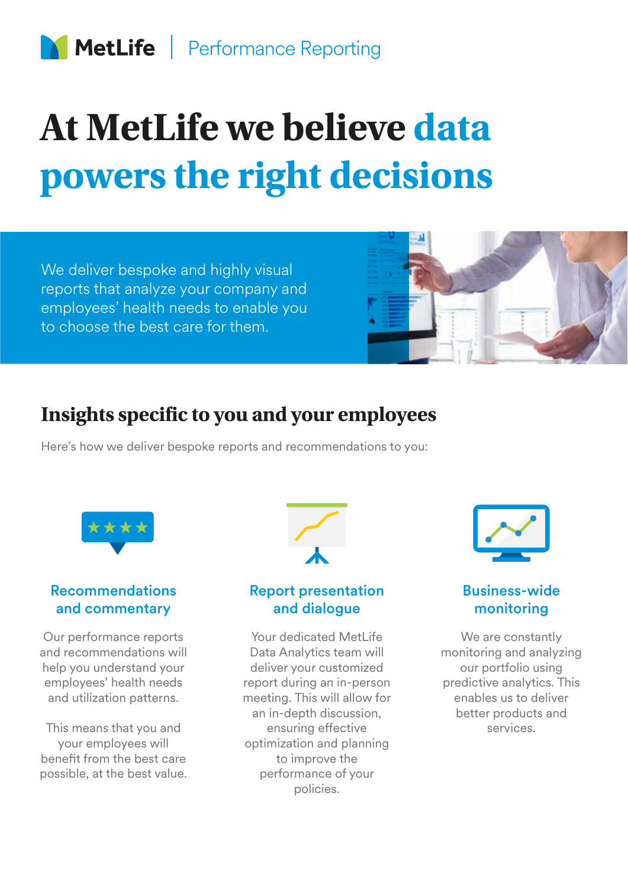# **At MetLife we believe data powers the right decisions**

We deliver bespoke and highly visual reports that analyze your company and employees' health needs to enable you to choose the best care for them.



# **Insights specific to you and your employees**

Here's how we deliver bespoke reports and recommendations to you:



### Recommendations and commentary

Our performance reports and recommendations will help you understand your employees' health needs and utilization patterns.

This means that you and your employees will benefit from the best care possible, at the best value.



### Report presentation and dialogue

Your dedicated MetLife Data Analytics team will deliver your customized report during an in-person meeting. This will allow for an in-depth discussion, ensuring effective optimization and planning to improve the performance of your policies.



### Business-wide monitoring

We are constantly monitoring and analyzing our portfolio using predictive analytics. This enables us to deliver better products and services.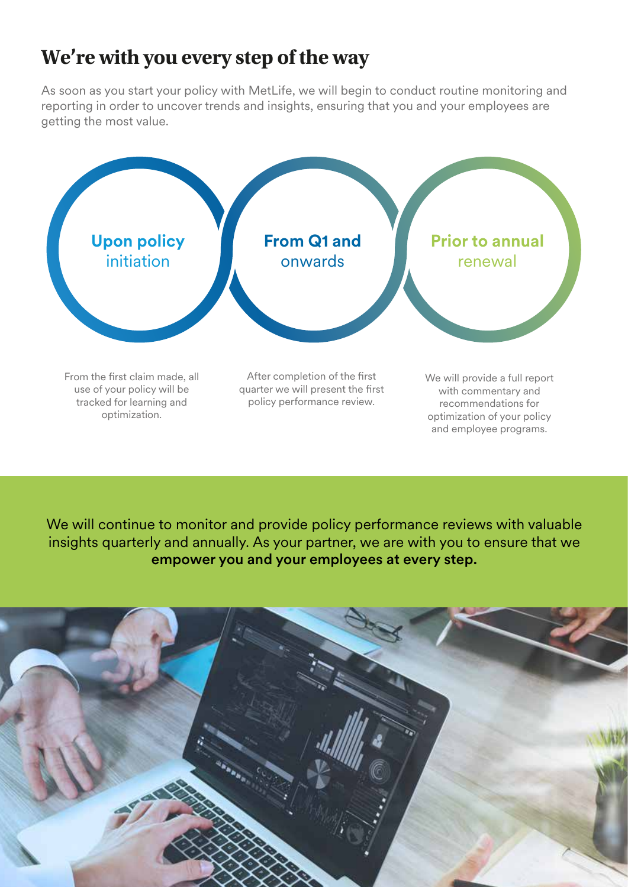# **We're with you every step of the way**

As soon as you start your policy with MetLife, we will begin to conduct routine monitoring and reporting in order to uncover trends and insights, ensuring that you and your employees are getting the most value.



We will continue to monitor and provide policy performance reviews with valuable insights quarterly and annually. As your partner, we are with you to ensure that we empower you and your employees at every step.

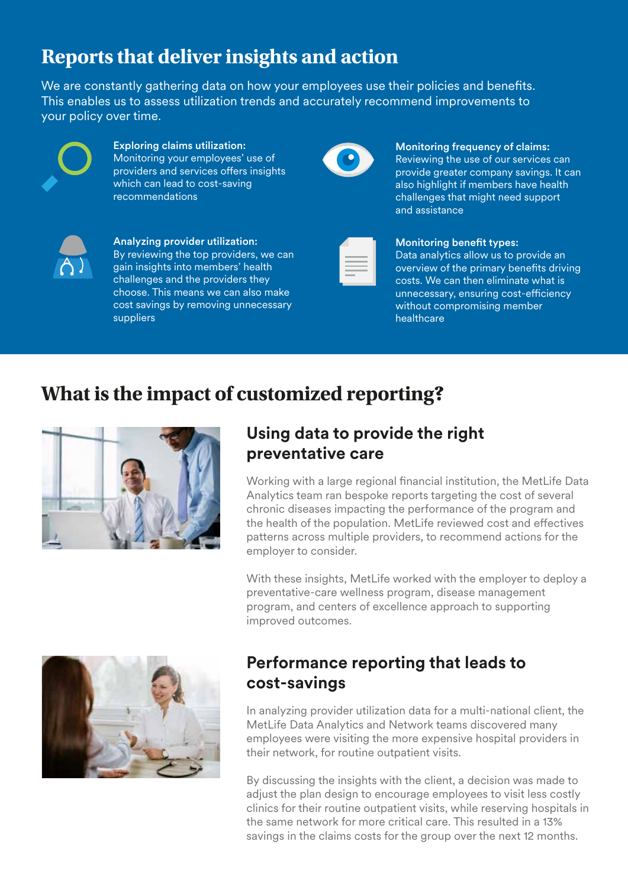# **Reports that deliver insights and action**

We are constantly gathering data on how your employees use their policies and benefits. This enables us to assess utilization trends and accurately recommend improvements to your policy over time.



Exploring claims utilization: Monitoring your employees' use of providers and services offers insights which can lead to cost-saving recommendations



Analyzing provider utilization: By reviewing the top providers, we can gain insights into members' health challenges and the providers they choose. This means we can also make cost savings by removing unnecessary suppliers

#### Monitoring frequency of claims:

Reviewing the use of our services can provide greater company savings. It can also highlight if members have health challenges that might need support and assistance

#### Monitoring benefit types:

Data analytics allow us to provide an overview of the primary benefits driving costs. We can then eliminate what is unnecessary, ensuring cost-efficiency without compromising member healthcare

## **What is the impact of customized reporting?**



### **Using data to provide the right preventative care**

Working with a large regional financial institution, the MetLife Data Analytics team ran bespoke reports targeting the cost of several chronic diseases impacting the performance of the program and the health of the population. MetLife reviewed cost and effectives patterns across multiple providers, to recommend actions for the employer to consider.

With these insights, MetLife worked with the employer to deploy a preventative-care wellness program, disease management program, and centers of excellence approach to supporting improved outcomes.



### **Performance reporting that leads to cost-savings**

In analyzing provider utilization data for a multi-national client, the MetLife Data Analytics and Network teams discovered many employees were visiting the more expensive hospital providers in their network, for routine outpatient visits.

By discussing the insights with the client, a decision was made to adjust the plan design to encourage employees to visit less costly clinics for their routine outpatient visits, while reserving hospitals in the same network for more critical care. This resulted in a 13% savings in the claims costs for the group over the next 12 months.